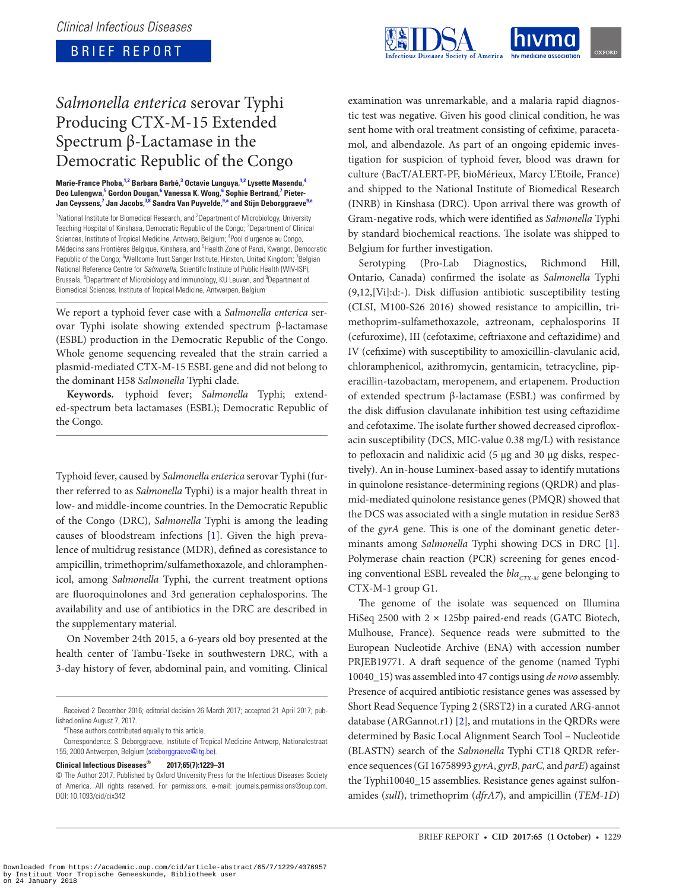## BRIEF REPORT



# *Salmonella enterica* serovar Typhi Producing CTX-M-15 Extended Spectrum β-Lactamase in the Democratic Republic of the Congo

#### Marie-France Phoba,<sup>1,2</sup> Barbara Barbé,<sup>3</sup> Octavie Lunguya,<sup>1,2</sup> Lysette Masendu,<sup>4</sup> Deo Lulengwa,<sup>5</sup> Gordon Dougan,<sup>6</sup> Vanessa K. Wong,<sup>6</sup> Sophie Bertrand,<sup>7</sup> Pieter-Jan Ceyssens,<sup>7</sup> Jan Jacobs,<sup>3,8</sup> Sandra Van Puyvelde,<sup>9,a</sup> and Stijn Deborggraeve<sup>9,a</sup>

<sup>1</sup> National Institute for Biomedical Research, and <sup>2</sup> Department of Microbiology, University Teaching Hospital of Kinshasa, Democratic Republic of the Congo; <sup>3</sup>Department of Clinical Sciences, Institute of Tropical Medicine, Antwerp, Belgium; <sup>4</sup>Pool d'urgence au Congo, Médecins sans Frontières Belgique, Kinshasa, and <sup>5</sup>Health Zone of Panzi, Kwango, Democratic Republic of the Congo; <sup>6</sup>Wellcome Trust Sanger Institute, Hinxton, United Kingdom; <sup>7</sup>Belgian National Reference Centre for *Salmonella*, Scientific Institute of Public Health (WIV-ISP), Brussels, <sup>8</sup>Department of Microbiology and Immunology, KU Leuven, and <sup>9</sup>Department of Biomedical Sciences, Institute of Tropical Medicine, Antwerpen, Belgium

We report a typhoid fever case with a *Salmonella enterica* serovar Typhi isolate showing extended spectrum β-lactamase (ESBL) production in the Democratic Republic of the Congo. Whole genome sequencing revealed that the strain carried a plasmid-mediated CTX-M-15 ESBL gene and did not belong to the dominant H58 *Salmonella* Typhi clade.

**Keywords.** typhoid fever; *Salmonella* Typhi; extended-spectrum beta lactamases (ESBL); Democratic Republic of the Congo.

Typhoid fever, caused by *Salmonella enterica* serovar Typhi (further referred to as *Salmonella* Typhi) is a major health threat in low- and middle-income countries. In the Democratic Republic of the Congo (DRC), *Salmonella* Typhi is among the leading causes of bloodstream infections [1]. Given the high prevalence of multidrug resistance (MDR), defined as coresistance to ampicillin, trimethoprim/sulfamethoxazole, and chloramphenicol, among *Salmonella* Typhi, the current treatment options are fluoroquinolones and 3rd generation cephalosporins. The availability and use of antibiotics in the DRC are described in the supplementary material.

On November 24th 2015, a 6-years old boy presented at the health center of Tambu-Tseke in southwestern DRC, with a 3-day history of fever, abdominal pain, and vomiting. Clinical

<sup>a</sup>These authors contributed equally to this article.

#### **Clinical Infectious Diseases® 2017;65(7):1229–31**

examination was unremarkable, and a malaria rapid diagnostic test was negative. Given his good clinical condition, he was sent home with oral treatment consisting of cefixime, paracetamol, and albendazole. As part of an ongoing epidemic investigation for suspicion of typhoid fever, blood was drawn for culture (BacT/ALERT-PF, bioMérieux, Marcy L'Etoile, France) and shipped to the National Institute of Biomedical Research (INRB) in Kinshasa (DRC). Upon arrival there was growth of Gram-negative rods, which were identified as *Salmonella* Typhi by standard biochemical reactions. The isolate was shipped to Belgium for further investigation.

Serotyping (Pro-Lab Diagnostics, Richmond Hill, Ontario, Canada) confirmed the isolate as *Salmonella* Typhi (9,12,[Vi]:d:-). Disk diffusion antibiotic susceptibility testing (CLSI, M100-S26 2016) showed resistance to ampicillin, trimethoprim-sulfamethoxazole, aztreonam, cephalosporins II (cefuroxime), III (cefotaxime, ceftriaxone and ceftazidime) and IV (cefixime) with susceptibility to amoxicillin-clavulanic acid, chloramphenicol, azithromycin, gentamicin, tetracycline, piperacillin-tazobactam, meropenem, and ertapenem. Production of extended spectrum β-lactamase (ESBL) was confirmed by the disk diffusion clavulanate inhibition test using ceftazidime and cefotaxime. The isolate further showed decreased ciprofloxacin susceptibility (DCS, MIC-value 0.38 mg/L) with resistance to pefloxacin and nalidixic acid (5 µg and 30 µg disks, respectively). An in-house Luminex-based assay to identify mutations in quinolone resistance-determining regions (QRDR) and plasmid-mediated quinolone resistance genes (PMQR) showed that the DCS was associated with a single mutation in residue Ser83 of the *gyrA* gene. This is one of the dominant genetic determinants among *Salmonella* Typhi showing DCS in DRC [1]. Polymerase chain reaction (PCR) screening for genes encoding conventional ESBL revealed the *bla<sub>CTX-M</sub>* gene belonging to CTX-M-1 group G1.

The genome of the isolate was sequenced on Illumina HiSeq 2500 with 2 × 125bp paired-end reads (GATC Biotech, Mulhouse, France). Sequence reads were submitted to the European Nucleotide Archive (ENA) with accession number PRJEB19771. A draft sequence of the genome (named Typhi 10040\_15) was assembled into 47 contigs using *de novo* assembly. Presence of acquired antibiotic resistance genes was assessed by Short Read Sequence Typing 2 (SRST2) in a curated ARG-annot database (ARGannot.r1) [2], and mutations in the QRDRs were determined by Basic Local Alignment Search Tool – Nucleotide (BLASTN) search of the *Salmonella* Typhi CT18 QRDR reference sequences (GI 16758993 *gyrA*, *gyrB*, *parC,* and *parE*) against the Typhi10040\_15 assemblies. Resistance genes against sulfonamides (*sulI*), trimethoprim (*dfrA7*), and ampicillin (*TEM-1D*)

Received 2 December 2016; editorial decision 26 March 2017; accepted 21 April 2017; published online August 7, 2017.

Correspondence: S. Deborggraeve, Institute of Tropical Medicine Antwerp, Nationalestraat 155, 2000 Antwerpen, Belgium (sdeborggraeve@itg.be).

<sup>©</sup> The Author 2017. Published by Oxford University Press for the Infectious Diseases Society of America. All rights reserved. For permissions, e-mail: journals.permissions@oup.com. DOI: 10.1093/cid/cix342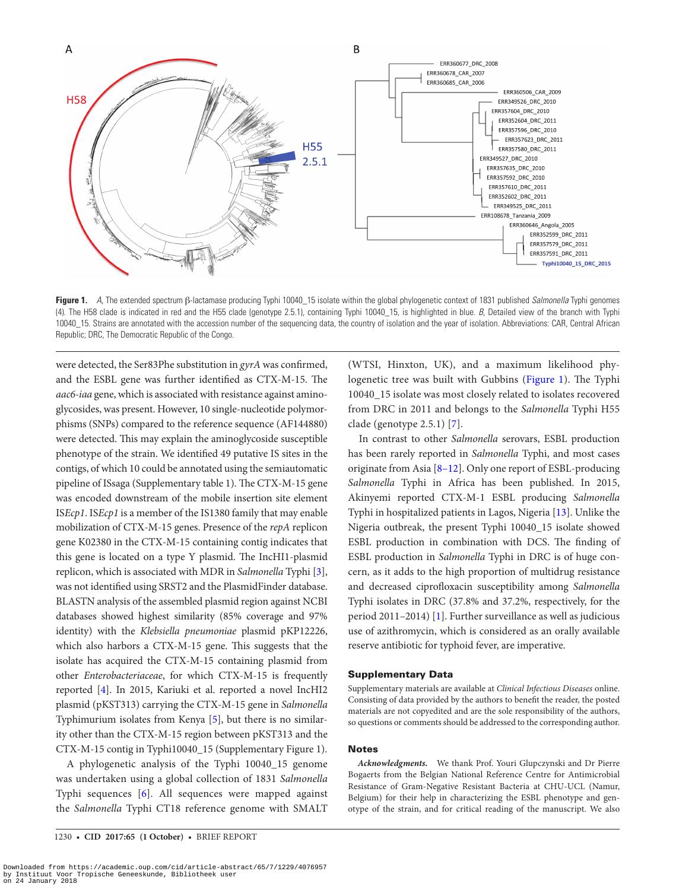

**Figure 1.** *A*, The extended spectrum β-lactamase producing Typhi 10040\_15 isolate within the global phylogenetic context of 1831 published *Salmonella* Typhi genomes (4). The H58 clade is indicated in red and the H55 clade (genotype 2.5.1), containing Typhi 10040\_15, is highlighted in blue. *B*, Detailed view of the branch with Typhi 10040\_15. Strains are annotated with the accession number of the sequencing data, the country of isolation and the year of isolation. Abbreviations: CAR, Central African Republic; DRC, The Democratic Republic of the Congo.

were detected, the Ser83Phe substitution in *gyrA* was confirmed, and the ESBL gene was further identified as CTX-M-15. The *aac6-iaa* gene, which is associated with resistance against aminoglycosides, was present. However, 10 single-nucleotide polymorphisms (SNPs) compared to the reference sequence (AF144880) were detected. This may explain the aminoglycoside susceptible phenotype of the strain. We identified 49 putative IS sites in the contigs, of which 10 could be annotated using the semiautomatic pipeline of ISsaga (Supplementary table 1). The CTX-M-15 gene was encoded downstream of the mobile insertion site element IS*Ecp1*. IS*Ecp1* is a member of the IS1380 family that may enable mobilization of CTX-M-15 genes. Presence of the *repA* replicon gene K02380 in the CTX-M-15 containing contig indicates that this gene is located on a type Y plasmid. The IncHI1-plasmid replicon, which is associated with MDR in *Salmonella* Typhi [3], was not identified using SRST2 and the PlasmidFinder database. BLASTN analysis of the assembled plasmid region against NCBI databases showed highest similarity (85% coverage and 97% identity) with the *Klebsiella pneumoniae* plasmid pKP12226, which also harbors a CTX-M-15 gene. This suggests that the isolate has acquired the CTX-M-15 containing plasmid from other *Enterobacteriaceae*, for which CTX-M-15 is frequently reported [4]. In 2015, Kariuki et al. reported a novel IncHI2 plasmid (pKST313) carrying the CTX-M-15 gene in *Salmonella* Typhimurium isolates from Kenya [5], but there is no similarity other than the CTX-M-15 region between pKST313 and the CTX-M-15 contig in Typhi10040\_15 (Supplementary Figure 1).

A phylogenetic analysis of the Typhi 10040\_15 genome was undertaken using a global collection of 1831 *Salmonella* Typhi sequences [6]. All sequences were mapped against the *Salmonella* Typhi CT18 reference genome with SMALT (WTSI, Hinxton, UK), and a maximum likelihood phylogenetic tree was built with Gubbins (Figure 1). The Typhi 10040\_15 isolate was most closely related to isolates recovered from DRC in 2011 and belongs to the *Salmonella* Typhi H55 clade (genotype 2.5.1) [7].

In contrast to other *Salmonella* serovars, ESBL production has been rarely reported in *Salmonella* Typhi, and most cases originate from Asia [8–12]. Only one report of ESBL-producing *Salmonella* Typhi in Africa has been published. In 2015, Akinyemi reported CTX-M-1 ESBL producing *Salmonella* Typhi in hospitalized patients in Lagos, Nigeria [13]. Unlike the Nigeria outbreak, the present Typhi 10040\_15 isolate showed ESBL production in combination with DCS. The finding of ESBL production in *Salmonella* Typhi in DRC is of huge concern, as it adds to the high proportion of multidrug resistance and decreased ciprofloxacin susceptibility among *Salmonella* Typhi isolates in DRC (37.8% and 37.2%, respectively, for the period 2011–2014) [1]. Further surveillance as well as judicious use of azithromycin, which is considered as an orally available reserve antibiotic for typhoid fever, are imperative.

#### Supplementary Data

Supplementary materials are available at *Clinical Infectious Diseases* online. Consisting of data provided by the authors to benefit the reader, the posted materials are not copyedited and are the sole responsibility of the authors, so questions or comments should be addressed to the corresponding author.

#### Notes

*Acknowledgments.* We thank Prof. Youri Glupczynski and Dr Pierre Bogaerts from the Belgian National Reference Centre for Antimicrobial Resistance of Gram-Negative Resistant Bacteria at CHU-UCL (Namur, Belgium) for their help in characterizing the ESBL phenotype and genotype of the strain, and for critical reading of the manuscript. We also

Downloaded from https://academic.oup.com/cid/article-abstract/65/7/1229/4076957 by Instituut Voor Tropische Geneeskunde, Bibliotheek user on 24 January 2018